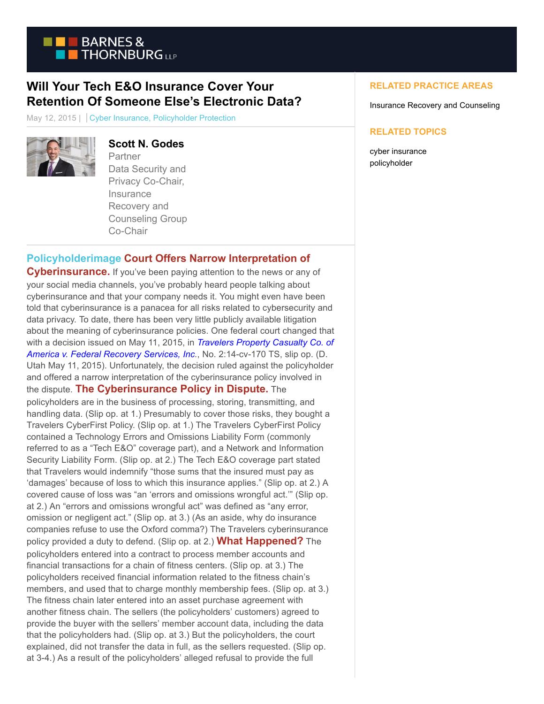

## **Will Your Tech E&O Insurance Cover Your Retention Of Someone Else's Electronic Data?**

May 12, 2015 | Cyber Insurance, Policyholder Protection



# **Scott N. Godes**

Partner Data Security and Privacy Co-Chair, **Insurance** Recovery and Counseling Group Co-Chair

### **[Policyholderimage](https://www.btpolicyholderprotection.com/wp-content/uploads/2015/05/Policyholderimage.jpg) Court Offers Narrow Interpretation of**

**Cyberinsurance.** If you've been paying attention to the news or any of your social media channels, you've probably heard people talking about cyberinsurance and that your company needs it. You might even have been told that cyberinsurance is a panacea for all risks related to cybersecurity and data privacy. To date, there has been very little publicly available litigation about the meaning of cyberinsurance policies. One federal court changed that with a decision issued on May 11, 2015, in *[Travelers Property Casualty Co. of](https://www.btpolicyholderprotection.com/wp-content/uploads/2015/05/Travelers-v-Federal-Recovery-Services.pdf) America v. Federal Recovery Services, Inc.*, No. 2:14-cv-170 TS, slip op. (D. Utah May 11, 2015). Unfortunately, the decision ruled against the policyholder and offered a narrow interpretation of the cyberinsurance policy involved in the dispute. **The Cyberinsurance Policy in Dispute.** The policyholders are in the business of processing, storing, transmitting, and handling data. (Slip op. at 1.) Presumably to cover those risks, they bought a Travelers CyberFirst Policy. (Slip op. at 1.) The Travelers CyberFirst Policy contained a Technology Errors and Omissions Liability Form (commonly referred to as a "Tech E&O" coverage part), and a Network and Information Security Liability Form. (Slip op. at 2.) The Tech E&O coverage part stated that Travelers would indemnify "those sums that the insured must pay as 'damages' because of loss to which this insurance applies." (Slip op. at 2.) A covered cause of loss was "an 'errors and omissions wrongful act.'" (Slip op. at 2.) An "errors and omissions wrongful act" was defined as "any error, omission or negligent act." (Slip op. at 3.) (As an aside, why do insurance companies refuse to use the Oxford comma?) The Travelers cyberinsurance policy provided a duty to defend. (Slip op. at 2.) **What Happened?** The policyholders entered into a contract to process member accounts and financial transactions for a chain of fitness centers. (Slip op. at 3.) The policyholders received financial information related to the fitness chain's members, and used that to charge monthly membership fees. (Slip op. at 3.) The fitness chain later entered into an asset purchase agreement with another fitness chain. The sellers (the policyholders' customers) agreed to provide the buyer with the sellers' member account data, including the data that the policyholders had. (Slip op. at 3.) But the policyholders, the court explained, did not transfer the data in full, as the sellers requested. (Slip op. at 3-4.) As a result of the policyholders' alleged refusal to provide the full

### **RELATED PRACTICE AREAS**

Insurance Recovery and Counseling

#### **RELATED TOPICS**

cyber insurance policyholder